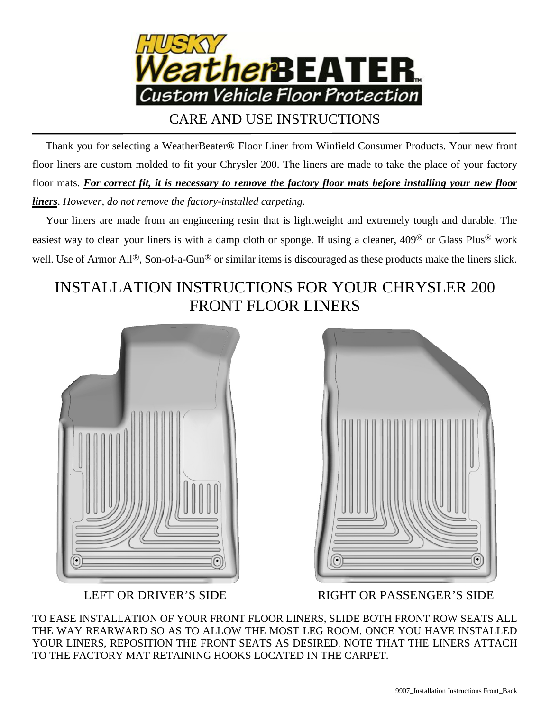

CARE AND USE INSTRUCTIONS

 Thank you for selecting a WeatherBeater® Floor Liner from Winfield Consumer Products. Your new front floor liners are custom molded to fit your Chrysler 200. The liners are made to take the place of your factory floor mats. *For correct fit, it is necessary to remove the factory floor mats before installing your new floor liners*. *However, do not remove the factory-installed carpeting.*

 Your liners are made from an engineering resin that is lightweight and extremely tough and durable. The easiest way to clean your liners is with a damp cloth or sponge. If using a cleaner, 409® or Glass Plus® work well. Use of Armor All<sup>®</sup>, Son-of-a-Gun<sup>®</sup> or similar items is discouraged as these products make the liners slick.

## INSTALLATION INSTRUCTIONS FOR YOUR CHRYSLER 200 FRONT FLOOR LINERS





LEFT OR DRIVER'S SIDE RIGHT OR PASSENGER'S SIDE

TO EASE INSTALLATION OF YOUR FRONT FLOOR LINERS, SLIDE BOTH FRONT ROW SEATS ALL THE WAY REARWARD SO AS TO ALLOW THE MOST LEG ROOM. ONCE YOU HAVE INSTALLED YOUR LINERS, REPOSITION THE FRONT SEATS AS DESIRED. NOTE THAT THE LINERS ATTACH TO THE FACTORY MAT RETAINING HOOKS LOCATED IN THE CARPET.